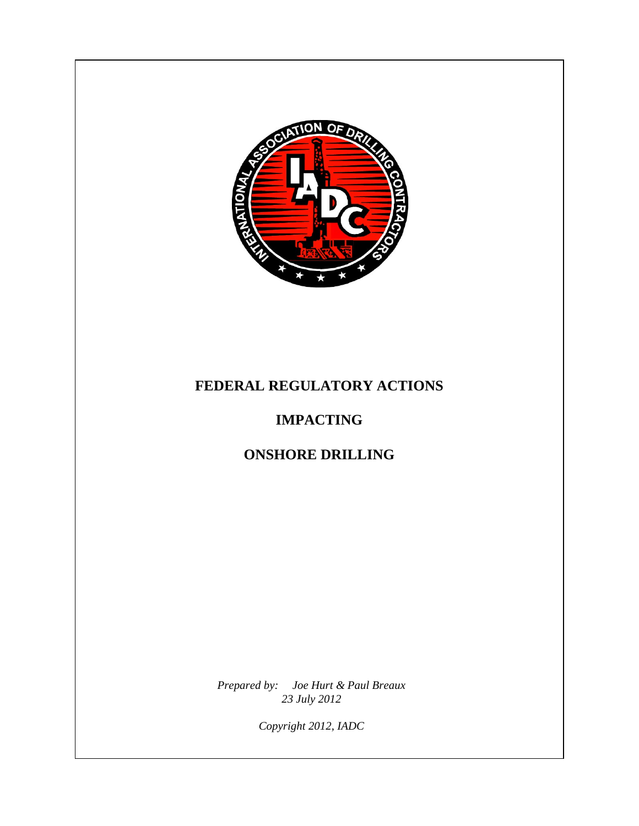

# **FEDERAL REGULATORY ACTIONS**

# **IMPACTING**

# **ONSHORE DRILLING**

*Prepared by: Joe Hurt & Paul Breaux 23 July 2012*

*Copyright 2012, IADC*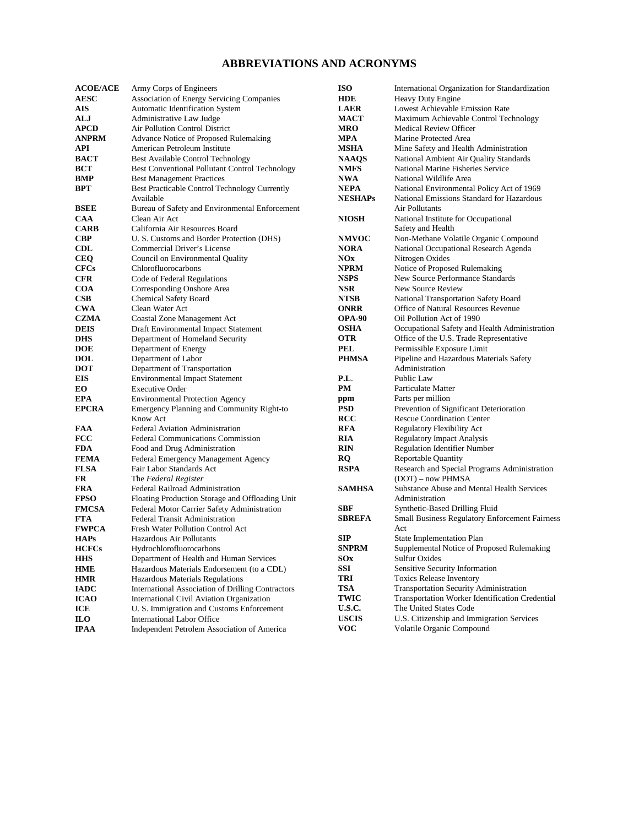#### **ABBREVIATIONS AND ACRONYMS**

| <b>ACOE/ACE</b>            | Army Corps of Engineers                                                             | <b>ISO</b>        | International Organization for Standardization               |
|----------------------------|-------------------------------------------------------------------------------------|-------------------|--------------------------------------------------------------|
| <b>AESC</b>                | Association of Energy Servicing Companies                                           | <b>HDE</b>        | Heavy Duty Engine                                            |
| AIS                        | Automatic Identification System                                                     | <b>LAER</b>       | Lowest Achievable Emission Rate                              |
| ALJ                        | Administrative Law Judge                                                            | <b>MACT</b>       | Maximum Achievable Control Technology                        |
| <b>APCD</b>                | Air Pollution Control District                                                      | MRO               | Medical Review Officer                                       |
| <b>ANPRM</b>               | Advance Notice of Proposed Rulemaking                                               | <b>MPA</b>        | Marine Protected Area                                        |
| API                        | American Petroleum Institute                                                        | MSHA              | Mine Safety and Health Administration                        |
| <b>BACT</b>                | Best Available Control Technology                                                   | <b>NAAQS</b>      | National Ambient Air Quality Standards                       |
| BCT                        | Best Conventional Pollutant Control Technology                                      | <b>NMFS</b>       | National Marine Fisheries Service                            |
| <b>BMP</b>                 | <b>Best Management Practices</b>                                                    | <b>NWA</b>        | National Wildlife Area                                       |
| BPT                        | Best Practicable Control Technology Currently                                       | <b>NEPA</b>       | National Environmental Policy Act of 1969                    |
|                            | Available                                                                           | <b>NESHAPs</b>    | National Emissions Standard for Hazardous                    |
| <b>BSEE</b>                | Bureau of Safety and Environmental Enforcement                                      |                   | Air Pollutants                                               |
| <b>CAA</b>                 | Clean Air Act                                                                       | <b>NIOSH</b>      | National Institute for Occupational                          |
| <b>CARB</b>                | California Air Resources Board                                                      |                   | Safety and Health                                            |
| <b>CBP</b>                 | U. S. Customs and Border Protection (DHS)                                           | <b>NMVOC</b>      | Non-Methane Volatile Organic Compound                        |
| CDL                        | Commercial Driver's License                                                         | <b>NORA</b>       | National Occupational Research Agenda                        |
| <b>CEQ</b>                 | Council on Environmental Quality                                                    | NOx               | Nitrogen Oxides                                              |
| <b>CFCs</b>                | Chlorofluorocarbons                                                                 | <b>NPRM</b>       | Notice of Proposed Rulemaking                                |
| <b>CFR</b>                 | Code of Federal Regulations                                                         | <b>NSPS</b>       | New Source Performance Standards                             |
| <b>COA</b>                 | Corresponding Onshore Area                                                          | <b>NSR</b>        | New Source Review                                            |
| $\bf CSB$                  | <b>Chemical Safety Board</b>                                                        | <b>NTSB</b>       | National Transportation Safety Board                         |
| <b>CWA</b>                 | Clean Water Act                                                                     | <b>ONRR</b>       | Office of Natural Resources Revenue                          |
| <b>CZMA</b>                | <b>Coastal Zone Management Act</b>                                                  | <b>OPA-90</b>     | Oil Pollution Act of 1990                                    |
| <b>DEIS</b>                | Draft Environmental Impact Statement                                                | <b>OSHA</b>       | Occupational Safety and Health Administration                |
| <b>DHS</b>                 | Department of Homeland Security                                                     | <b>OTR</b>        | Office of the U.S. Trade Representative                      |
| <b>DOE</b>                 | Department of Energy                                                                | <b>PEL</b>        | Permissible Exposure Limit                                   |
| <b>DOL</b>                 | Department of Labor                                                                 | <b>PHMSA</b>      | Pipeline and Hazardous Materials Safety                      |
| <b>DOT</b>                 | Department of Transportation                                                        | P.L.              | Administration<br>Public Law                                 |
| EIS                        | <b>Environmental Impact Statement</b>                                               |                   |                                                              |
| EО                         | <b>Executive Order</b>                                                              | PM                | Particulate Matter                                           |
| <b>EPA</b><br><b>EPCRA</b> | <b>Environmental Protection Agency</b><br>Emergency Planning and Community Right-to | ppm<br><b>PSD</b> | Parts per million<br>Prevention of Significant Deterioration |
|                            | Know Act                                                                            | <b>RCC</b>        | <b>Rescue Coordination Center</b>                            |
| FAA                        | <b>Federal Aviation Administration</b>                                              | <b>RFA</b>        | Regulatory Flexibility Act                                   |
| <b>FCC</b>                 | <b>Federal Communications Commission</b>                                            | <b>RIA</b>        | <b>Regulatory Impact Analysis</b>                            |
| <b>FDA</b>                 | Food and Drug Administration                                                        | <b>RIN</b>        | <b>Regulation Identifier Number</b>                          |
| <b>FEMA</b>                | Federal Emergency Management Agency                                                 | RQ                | <b>Reportable Quantity</b>                                   |
| <b>FLSA</b>                | Fair Labor Standards Act                                                            | <b>RSPA</b>       | Research and Special Programs Administration                 |
| FR                         | The Federal Register                                                                |                   | (DOT) - now PHMSA                                            |
| FRA                        | Federal Railroad Administration                                                     | <b>SAMHSA</b>     | Substance Abuse and Mental Health Services                   |
| <b>FPSO</b>                | Floating Production Storage and Offloading Unit                                     |                   | Administration                                               |
| <b>FMCSA</b>               | Federal Motor Carrier Safety Administration                                         | <b>SBF</b>        | Synthetic-Based Drilling Fluid                               |
| <b>FTA</b>                 | <b>Federal Transit Administration</b>                                               | <b>SBREFA</b>     | Small Business Regulatory Enforcement Fairness               |
| <b>FWPCA</b>               | Fresh Water Pollution Control Act                                                   |                   | Act                                                          |
| <b>HAPs</b>                | Hazardous Air Pollutants                                                            | <b>SIP</b>        | State Implementation Plan                                    |
| <b>HCFCs</b>               | Hydrochlorofluorocarbons                                                            | <b>SNPRM</b>      | Supplemental Notice of Proposed Rulemaking                   |
| <b>HHS</b>                 | Department of Health and Human Services                                             | <b>SOx</b>        | <b>Sulfur Oxides</b>                                         |
| <b>HME</b>                 | Hazardous Materials Endorsement (to a CDL)                                          | SSI               | Sensitive Security Information                               |
| <b>HMR</b>                 | Hazardous Materials Regulations                                                     | TRI               | <b>Toxics Release Inventory</b>                              |
| <b>IADC</b>                | <b>International Association of Drilling Contractors</b>                            | TSA               | <b>Transportation Security Administration</b>                |
| <b>ICAO</b>                | International Civil Aviation Organization                                           | <b>TWIC</b>       | Transportation Worker Identification Credential              |
| ICE                        | U. S. Immigration and Customs Enforcement                                           | U.S.C.            | The United States Code                                       |
| ILO <sub>.</sub>           | <b>International Labor Office</b>                                                   | <b>USCIS</b>      | U.S. Citizenship and Immigration Services                    |
| IPAA                       | Independent Petrolem Association of America                                         | <b>VOC</b>        | Volatile Organic Compound                                    |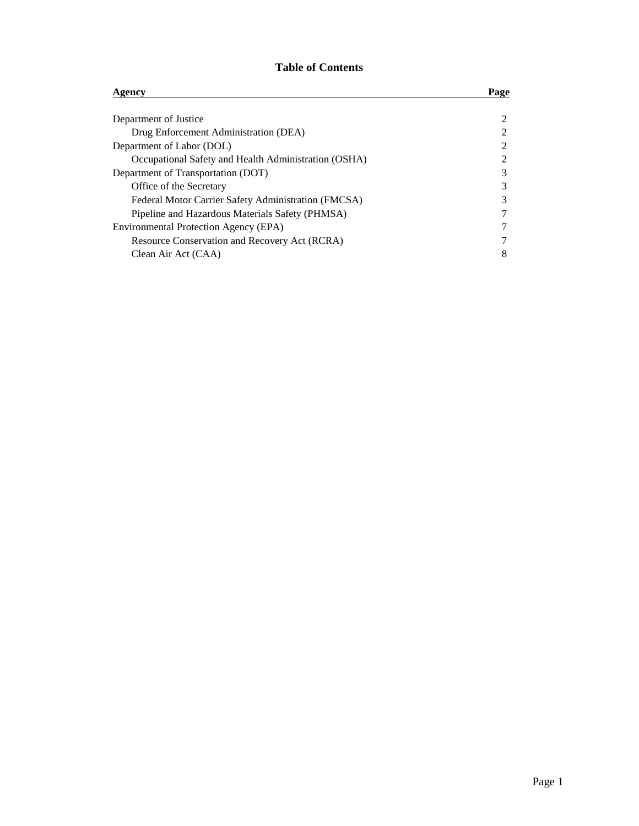### **Table of Contents**

| Agency                                               | Page |
|------------------------------------------------------|------|
|                                                      |      |
| Department of Justice                                |      |
| Drug Enforcement Administration (DEA)                |      |
| Department of Labor (DOL)                            |      |
| Occupational Safety and Health Administration (OSHA) |      |
| Department of Transportation (DOT)                   | 3    |
| Office of the Secretary                              | 3    |
| Federal Motor Carrier Safety Administration (FMCSA)  | 3    |
| Pipeline and Hazardous Materials Safety (PHMSA)      |      |
| Environmental Protection Agency (EPA)                |      |
| Resource Conservation and Recovery Act (RCRA)        |      |
| Clean Air Act (CAA)                                  | 8    |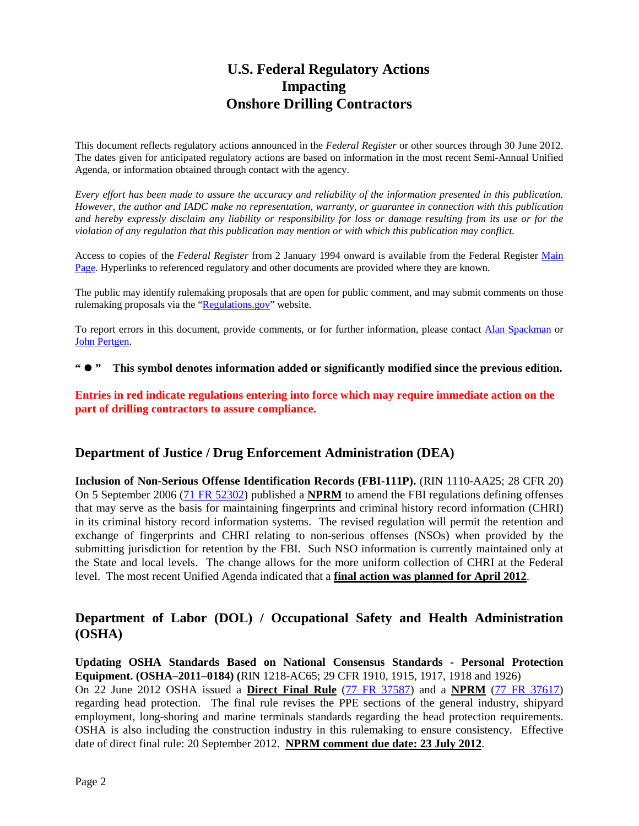## **U.S. Federal Regulatory Actions Impacting Onshore Drilling Contractors**

This document reflects regulatory actions announced in the *Federal Register* or other sources through 30 June 2012. The dates given for anticipated regulatory actions are based on information in the most recent Semi-Annual Unified Agenda, or information obtained through contact with the agency.

*Every effort has been made to assure the accuracy and reliability of the information presented in this publication. However, the author and IADC make no representation, warranty, or guarantee in connection with this publication and hereby expressly disclaim any liability or responsibility for loss or damage resulting from its use or for the violation of any regulation that this publication may mention or with which this publication may conflict.*

Access to copies of the *Federal Register* from 2 January 1994 onward is available from the Federal Register [Main](http://www.gpoaccess.gov/fr/index.html)  [Page.](http://www.gpoaccess.gov/fr/index.html) Hyperlinks to referenced regulatory and other documents are provided where they are known.

The public may identify rulemaking proposals that are open for public comment, and may submit comments on those rulemaking proposals via the ["Regulations.gov"](http://www.regulations.gov/) website.

To report errors in this document, provide comments, or for further information, please contact [Alan Spackman](mailto:alan.spackman@iadc.org) or [John Pertgen.](mailto:john.pertgen@iadc.org)

**" " This symbol denotes information added or significantly modified since the previous edition.**

**Entries in red indicate regulations entering into force which may require immediate action on the part of drilling contractors to assure compliance.**

#### **Department of Justice / Drug Enforcement Administration (DEA)**

**Inclusion of Non-Serious Offense Identification Records (FBI-111P).** (RIN 1110-AA25; 28 CFR 20) On 5 September 2006 [\(71 FR 52302\)](http://edocket.access.gpo.gov/2006/pdf/E6-14605.pdf) published a **NPRM** to amend the FBI regulations defining offenses that may serve as the basis for maintaining fingerprints and criminal history record information (CHRI) in its criminal history record information systems. The revised regulation will permit the retention and exchange of fingerprints and CHRI relating to non-serious offenses (NSOs) when provided by the submitting jurisdiction for retention by the FBI. Such NSO information is currently maintained only at the State and local levels. The change allows for the more uniform collection of CHRI at the Federal level. The most recent Unified Agenda indicated that a **final action was planned for April 2012**.

### **Department of Labor (DOL) / Occupational Safety and Health Administration (OSHA)**

**Updating OSHA Standards Based on National Consensus Standards - Personal Protection Equipment. (OSHA–2011–0184) (**RIN 1218-AC65; 29 CFR 1910, 1915, 1917, 1918 and 1926) On 22 June 2012 OSHA issued a **Direct Final Rule** [\(77 FR 37587\)](http://www.gpo.gov/fdsys/pkg/FR-2012-06-22/pdf/2012-15030.pdf) and a **NPRM** [\(77 FR 37617\)](http://www.gpo.gov/fdsys/pkg/FR-2012-06-22/pdf/2012-15031.pdf) regarding head protection. The final rule revises the PPE sections of the general industry, shipyard employment, long-shoring and marine terminals standards regarding the head protection requirements. OSHA is also including the construction industry in this rulemaking to ensure consistency. Effective date of direct final rule: 20 September 2012. **NPRM comment due date: 23 July 2012**.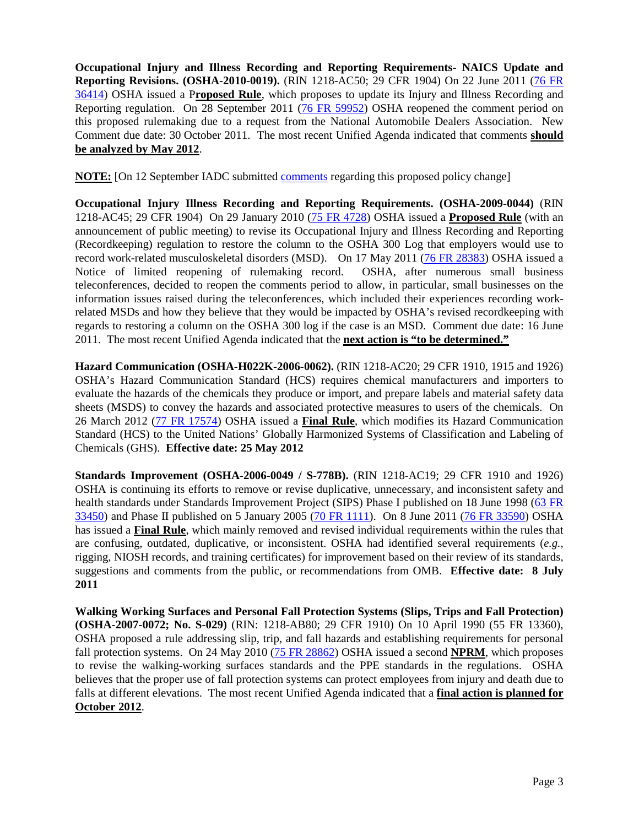**Occupational Injury and Illness Recording and Reporting Requirements- NAICS Update and Reporting Revisions. (OSHA-2010-0019).** (RIN 1218-AC50; 29 CFR 1904) On 22 June 2011 [\(76 FR](http://www.gpo.gov/fdsys/pkg/FR-2011-06-22/pdf/2011-15277.pdf)  [36414\)](http://www.gpo.gov/fdsys/pkg/FR-2011-06-22/pdf/2011-15277.pdf) OSHA issued a P**roposed Rule**, which proposes to update its Injury and Illness Recording and Reporting regulation. On 28 September 2011 [\(76 FR 59952\)](http://www.gpo.gov/fdsys/pkg/FR-2011-09-28/pdf/2011-24779.pdf) OSHA reopened the comment period on this proposed rulemaking due to a request from the National Automobile Dealers Association. New Comment due date: 30 October 2011. The most recent Unified Agenda indicated that comments **should be analyzed by May 2012**.

**NOTE:** [On 12 September IADC submitted [comments](http://www.iadc.org/committees/offshore/index.html) regarding this proposed policy change]

**Occupational Injury Illness Recording and Reporting Requirements. (OSHA-2009-0044)** (RIN 1218-AC45; 29 CFR 1904) On 29 January 2010 [\(75 FR 4728\)](http://edocket.access.gpo.gov/2010/pdf/2010-2010.pdf) OSHA issued a **Proposed Rule** (with an announcement of public meeting) to revise its Occupational Injury and Illness Recording and Reporting (Recordkeeping) regulation to restore the column to the OSHA 300 Log that employers would use to record work-related musculoskeletal disorders (MSD). On 17 May 2011 [\(76 FR 28383\)](http://www.gpo.gov/fdsys/pkg/FR-2011-05-17/pdf/2011-11965.pdf) OSHA issued a Notice of limited reopening of rulemaking record. OSHA, after numerous small business teleconferences, decided to reopen the comments period to allow, in particular, small businesses on the information issues raised during the teleconferences, which included their experiences recording workrelated MSDs and how they believe that they would be impacted by OSHA's revised recordkeeping with regards to restoring a column on the OSHA 300 log if the case is an MSD. Comment due date: 16 June 2011. The most recent Unified Agenda indicated that the **next action is "to be determined."**

**Hazard Communication (OSHA-H022K-2006-0062).** (RIN 1218-AC20; 29 CFR 1910, 1915 and 1926) OSHA's Hazard Communication Standard (HCS) requires chemical manufacturers and importers to evaluate the hazards of the chemicals they produce or import, and prepare labels and material safety data sheets (MSDS) to convey the hazards and associated protective measures to users of the chemicals. On 26 March 2012 [\(77 FR 17574\)](http://www.gpo.gov/fdsys/search/getfrtoc.action) OSHA issued a **Final Rule**, which modifies its Hazard Communication Standard (HCS) to the United Nations' Globally Harmonized Systems of Classification and Labeling of Chemicals (GHS). **Effective date: 25 May 2012**

**Standards Improvement (OSHA-2006-0049 / S-778B).** (RIN 1218-AC19; 29 CFR 1910 and 1926) OSHA is continuing its efforts to remove or revise duplicative, unnecessary, and inconsistent safety and health standards under Standards Improvement Project (SIPS) Phase I published on 18 June 1998 [\(63 FR](http://frwebgate.access.gpo.gov/cgi-bin/getdoc.cgi?IPaddress=frwais.access.gpo.gov&dbname=1998_register&docid=98-15936-filed.pdf)  [33450\)](http://frwebgate.access.gpo.gov/cgi-bin/getdoc.cgi?IPaddress=frwais.access.gpo.gov&dbname=1998_register&docid=98-15936-filed.pdf) and Phase II published on 5 January 2005 [\(70 FR 1111\)](http://edocket.access.gpo.gov/2005/pdf/04-28221.pdf). On 8 June 2011 [\(76 FR 33590\)](http://www.gpo.gov/fdsys/pkg/FR-2011-06-08/pdf/2011-13517.pdf) OSHA has issued a **Final Rule**, which mainly removed and revised individual requirements within the rules that are confusing, outdated, duplicative, or inconsistent. OSHA had identified several requirements (*e.g.*, rigging, NIOSH records, and training certificates) for improvement based on their review of its standards, suggestions and comments from the public, or recommendations from OMB. **Effective date: 8 July 2011**

**Walking Working Surfaces and Personal Fall Protection Systems (Slips, Trips and Fall Protection) (OSHA-2007-0072; No. S-029)** (RIN: 1218-AB80; 29 CFR 1910) On 10 April 1990 (55 FR 13360), OSHA proposed a rule addressing slip, trip, and fall hazards and establishing requirements for personal fall protection systems. On 24 May 2010 [\(75 FR 28862\)](http://edocket.access.gpo.gov/2010/pdf/2010-10418.pdf) OSHA issued a second **NPRM**, which proposes to revise the walking-working surfaces standards and the PPE standards in the regulations. OSHA believes that the proper use of fall protection systems can protect employees from injury and death due to falls at different elevations. The most recent Unified Agenda indicated that a **final action is planned for October 2012**.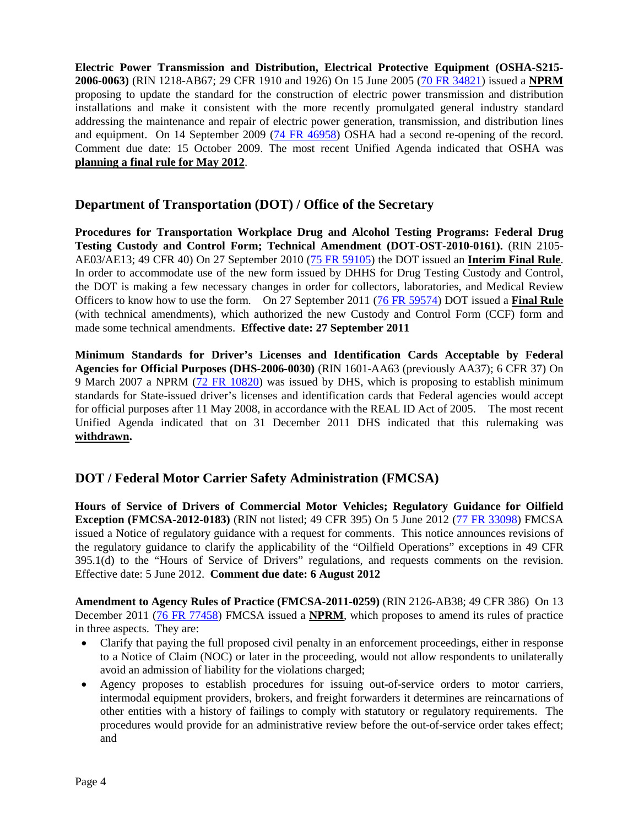**Electric Power Transmission and Distribution, Electrical Protective Equipment (OSHA-S215- 2006-0063)** (RIN 1218-AB67; 29 CFR 1910 and 1926) On 15 June 2005 [\(70 FR 34821\)](http://edocket.access.gpo.gov/2005/pdf/05-11585.pdf) issued a **NPRM** proposing to update the standard for the construction of electric power transmission and distribution installations and make it consistent with the more recently promulgated general industry standard addressing the maintenance and repair of electric power generation, transmission, and distribution lines and equipment. On 14 September 2009 [\(74 FR 46958\)](http://edocket.access.gpo.gov/2009/pdf/E9-22002.pdf) OSHA had a second re-opening of the record. Comment due date: 15 October 2009. The most recent Unified Agenda indicated that OSHA was **planning a final rule for May 2012**.

### **Department of Transportation (DOT) / Office of the Secretary**

**Procedures for Transportation Workplace Drug and Alcohol Testing Programs: Federal Drug Testing Custody and Control Form; Technical Amendment (DOT-OST-2010-0161).** (RIN 2105- AE03/AE13; 49 CFR 40) On 27 September 2010 [\(75 FR 59105\)](http://edocket.access.gpo.gov/2010/pdf/2010-24038.pdf) the DOT issued an **Interim Final Rule**. In order to accommodate use of the new form issued by DHHS for Drug Testing Custody and Control, the DOT is making a few necessary changes in order for collectors, laboratories, and Medical Review Officers to know how to use the form. On 27 September 2011 [\(76 FR 59574\)](http://www.gpo.gov/fdsys/pkg/FR-2011-09-27/pdf/2011-24818.pdf) DOT issued a **Final Rule** (with technical amendments), which authorized the new Custody and Control Form (CCF) form and made some technical amendments. **Effective date: 27 September 2011**

**Minimum Standards for Driver's Licenses and Identification Cards Acceptable by Federal Agencies for Official Purposes (DHS-2006-0030)** (RIN 1601-AA63 (previously AA37); 6 CFR 37) On 9 March 2007 a NPRM [\(72 FR 10820\)](http://edocket.access.gpo.gov/2007/pdf/07-1009.pdf) was issued by DHS, which is proposing to establish minimum standards for State-issued driver's licenses and identification cards that Federal agencies would accept for official purposes after 11 May 2008, in accordance with the REAL ID Act of 2005. The most recent Unified Agenda indicated that on 31 December 2011 DHS indicated that this rulemaking was **withdrawn.**

## **DOT / Federal Motor Carrier Safety Administration (FMCSA)**

**Hours of Service of Drivers of Commercial Motor Vehicles; Regulatory Guidance for Oilfield Exception (FMCSA-2012-0183)** (RIN not listed; 49 CFR 395) On 5 June 2012 [\(77 FR 33098\)](http://www.gpo.gov/fdsys/pkg/FR-2012-06-05/pdf/2012-13584.pdf) FMCSA issued a Notice of regulatory guidance with a request for comments. This notice announces revisions of the regulatory guidance to clarify the applicability of the "Oilfield Operations" exceptions in 49 CFR 395.1(d) to the "Hours of Service of Drivers" regulations, and requests comments on the revision. Effective date: 5 June 2012. **Comment due date: 6 August 2012**

**Amendment to Agency Rules of Practice (FMCSA-2011-0259)** (RIN 2126-AB38; 49 CFR 386) On 13 December 2011 [\(76 FR 77458\)](http://www.gpo.gov/fdsys/pkg/FR-2011-12-13/pdf/2011-31858.pdf) FMCSA issued a **NPRM**, which proposes to amend its rules of practice in three aspects. They are:

- Clarify that paying the full proposed civil penalty in an enforcement proceedings, either in response to a Notice of Claim (NOC) or later in the proceeding, would not allow respondents to unilaterally avoid an admission of liability for the violations charged;
- Agency proposes to establish procedures for issuing out-of-service orders to motor carriers, intermodal equipment providers, brokers, and freight forwarders it determines are reincarnations of other entities with a history of failings to comply with statutory or regulatory requirements. The procedures would provide for an administrative review before the out-of-service order takes effect; and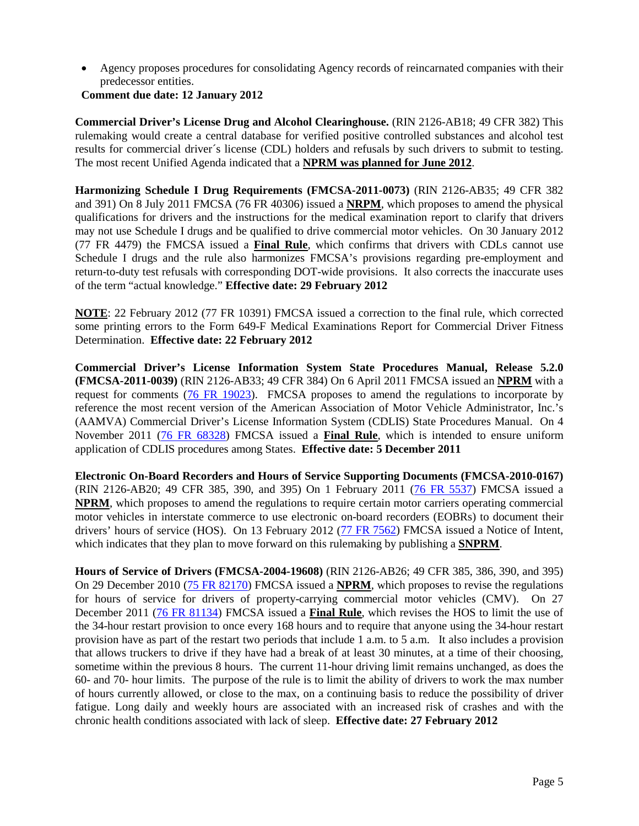• Agency proposes procedures for consolidating Agency records of reincarnated companies with their predecessor entities.

#### **Comment due date: 12 January 2012**

**Commercial Driver's License Drug and Alcohol Clearinghouse.** (RIN 2126-AB18; 49 CFR 382) This rulemaking would create a central database for verified positive controlled substances and alcohol test results for commercial driver´s license (CDL) holders and refusals by such drivers to submit to testing. The most recent Unified Agenda indicated that a **NPRM was planned for June 2012**.

**Harmonizing Schedule I Drug Requirements (FMCSA-2011-0073)** (RIN 2126-AB35; 49 CFR 382 and 391) On 8 July 2011 FMCSA (76 FR 40306) issued a **NRPM**, which proposes to amend the physical qualifications for drivers and the instructions for the medical examination report to clarify that drivers may not use Schedule I drugs and be qualified to drive commercial motor vehicles. On 30 January 2012 (77 FR 4479) the FMCSA issued a **Final Rule**, which confirms that drivers with CDLs cannot use Schedule I drugs and the rule also harmonizes FMCSA's provisions regarding pre-employment and return-to-duty test refusals with corresponding DOT-wide provisions. It also corrects the inaccurate uses of the term "actual knowledge." **Effective date: 29 February 2012**

**NOTE**: 22 February 2012 (77 FR 10391) FMCSA issued a correction to the final rule, which corrected some printing errors to the Form 649-F Medical Examinations Report for Commercial Driver Fitness Determination. **Effective date: 22 February 2012**

**Commercial Driver's License Information System State Procedures Manual, Release 5.2.0 (FMCSA-2011-0039)** (RIN 2126-AB33; 49 CFR 384) On 6 April 2011 FMCSA issued an **NPRM** with a request for comments [\(76 FR 19023\)](http://edocket.access.gpo.gov/2011/pdf/2011-8061.pdf). FMCSA proposes to amend the regulations to incorporate by reference the most recent version of the American Association of Motor Vehicle Administrator, Inc.'s (AAMVA) Commercial Driver's License Information System (CDLIS) State Procedures Manual. On 4 November 2011 [\(76 FR 68328\)](http://www.gpo.gov/fdsys/pkg/FR-2011-11-04/pdf/2011-28517.pdf) FMCSA issued a **Final Rule**, which is intended to ensure uniform application of CDLIS procedures among States. **Effective date: 5 December 2011**

**Electronic On-Board Recorders and Hours of Service Supporting Documents (FMCSA-2010-0167)**  (RIN 2126-AB20; 49 CFR 385, 390, and 395) On 1 February 2011 [\(76 FR 5537\)](http://edocket.access.gpo.gov/2011/pdf/2011-2093.pdf) FMCSA issued a **NPRM**, which proposes to amend the regulations to require certain motor carriers operating commercial motor vehicles in interstate commerce to use electronic on-board recorders (EOBRs) to document their drivers' hours of service (HOS). On 13 February 2012 [\(77 FR 7562\)](http://www.gpo.gov/fdsys/pkg/FR-2012-02-13/pdf/2012-3265.pdf) FMCSA issued a Notice of Intent, which indicates that they plan to move forward on this rulemaking by publishing a **SNPRM**.

**Hours of Service of Drivers (FMCSA-2004-19608)** (RIN 2126-AB26; 49 CFR 385, 386, 390, and 395) On 29 December 2010 [\(75 FR 82170\)](http://edocket.access.gpo.gov/2010/pdf/2010-32251.pdf) FMCSA issued a **NPRM**, which proposes to revise the regulations for hours of service for drivers of property-carrying commercial motor vehicles (CMV). On 27 December 2011 [\(76 FR 81134\)](http://www.gpo.gov/fdsys/pkg/FR-2011-12-27/pdf/2011-32696.pdf) FMCSA issued a **Final Rule**, which revises the HOS to limit the use of the 34-hour restart provision to once every 168 hours and to require that anyone using the 34-hour restart provision have as part of the restart two periods that include 1 a.m. to 5 a.m. It also includes a provision that allows truckers to drive if they have had a break of at least 30 minutes, at a time of their choosing, sometime within the previous 8 hours. The current 11-hour driving limit remains unchanged, as does the 60- and 70- hour limits. The purpose of the rule is to limit the ability of drivers to work the max number of hours currently allowed, or close to the max, on a continuing basis to reduce the possibility of driver fatigue. Long daily and weekly hours are associated with an increased risk of crashes and with the chronic health conditions associated with lack of sleep. **Effective date: 27 February 2012**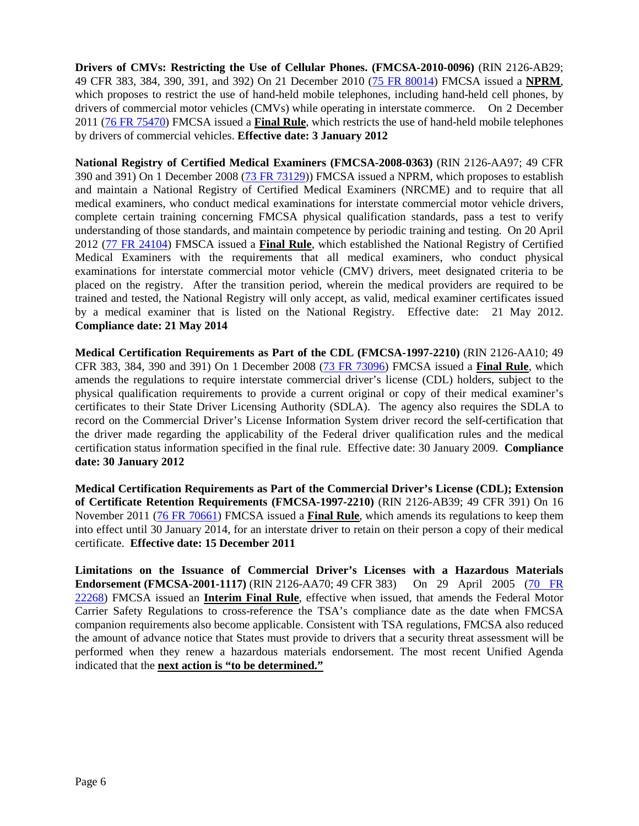**Drivers of CMVs: Restricting the Use of Cellular Phones. (FMCSA-2010-0096)** (RIN 2126-AB29; 49 CFR 383, 384, 390, 391, and 392) On 21 December 2010 [\(75 FR 80014\)](http://edocket.access.gpo.gov/2010/pdf/2010-31736.pdf) FMCSA issued a **NPRM**, which proposes to restrict the use of hand-held mobile telephones, including hand-held cell phones, by drivers of commercial motor vehicles (CMVs) while operating in interstate commerce. On 2 December 2011 [\(76 FR 75470\)](http://www.gpo.gov/fdsys/pkg/FR-2011-12-02/pdf/2011-30749.pdf) FMCSA issued a **Final Rule**, which restricts the use of hand-held mobile telephones by drivers of commercial vehicles. **Effective date: 3 January 2012**

**National Registry of Certified Medical Examiners (FMCSA-2008-0363)** (RIN 2126-AA97; 49 CFR 390 and 391) On 1 December 2008 [\(73 FR 73129\)](http://edocket.access.gpo.gov/2008/pdf/E8-28172.pdf)) FMCSA issued a NPRM, which proposes to establish and maintain a National Registry of Certified Medical Examiners (NRCME) and to require that all medical examiners, who conduct medical examinations for interstate commercial motor vehicle drivers, complete certain training concerning FMCSA physical qualification standards, pass a test to verify understanding of those standards, and maintain competence by periodic training and testing. On 20 April 2012 [\(77 FR 24104\)](http://www.gpo.gov/fdsys/pkg/FR-2012-04-20/pdf/2012-9034.pdf) FMSCA issued a **Final Rule**, which established the National Registry of Certified Medical Examiners with the requirements that all medical examiners, who conduct physical examinations for interstate commercial motor vehicle (CMV) drivers, meet designated criteria to be placed on the registry. After the transition period, wherein the medical providers are required to be trained and tested, the National Registry will only accept, as valid, medical examiner certificates issued by a medical examiner that is listed on the National Registry. Effective date: 21 May 2012. **Compliance date: 21 May 2014**

**Medical Certification Requirements as Part of the CDL (FMCSA-1997-2210)** (RIN 2126-AA10; 49 CFR 383, 384, 390 and 391) On 1 December 2008 [\(73 FR 73096\)](http://edocket.access.gpo.gov/2008/pdf/E8-28173.pdf) FMCSA issued a **Final Rule**, which amends the regulations to require interstate commercial driver's license (CDL) holders, subject to the physical qualification requirements to provide a current original or copy of their medical examiner's certificates to their State Driver Licensing Authority (SDLA). The agency also requires the SDLA to record on the Commercial Driver's License Information System driver record the self-certification that the driver made regarding the applicability of the Federal driver qualification rules and the medical certification status information specified in the final rule. Effective date: 30 January 2009. **Compliance date: 30 January 2012**

**Medical Certification Requirements as Part of the Commercial Driver's License (CDL); Extension of Certificate Retention Requirements (FMCSA-1997-2210)** (RIN 2126-AB39; 49 CFR 391) On 16 November 2011 [\(76 FR 70661\)](http://www.gpo.gov/fdsys/pkg/FR-2011-11-15/pdf/2011-29481.pdf) FMCSA issued a **Final Rule**, which amends its regulations to keep them into effect until 30 January 2014, for an interstate driver to retain on their person a copy of their medical certificate. **Effective date: 15 December 2011**

**Limitations on the Issuance of Commercial Driver's Licenses with a Hazardous Materials Endorsement (FMCSA-2001-1117)** (RIN 2126-AA70; 49 CFR 383) On 29 April 2005 [\(70 FR](http://edocket.access.gpo.gov/2005/pdf/05-8572.pdf)  [22268\)](http://edocket.access.gpo.gov/2005/pdf/05-8572.pdf) FMCSA issued an **Interim Final Rule**, effective when issued, that amends the Federal Motor Carrier Safety Regulations to cross-reference the TSA's compliance date as the date when FMCSA companion requirements also become applicable. Consistent with TSA regulations, FMCSA also reduced the amount of advance notice that States must provide to drivers that a security threat assessment will be performed when they renew a hazardous materials endorsement. The most recent Unified Agenda indicated that the **next action is "to be determined."**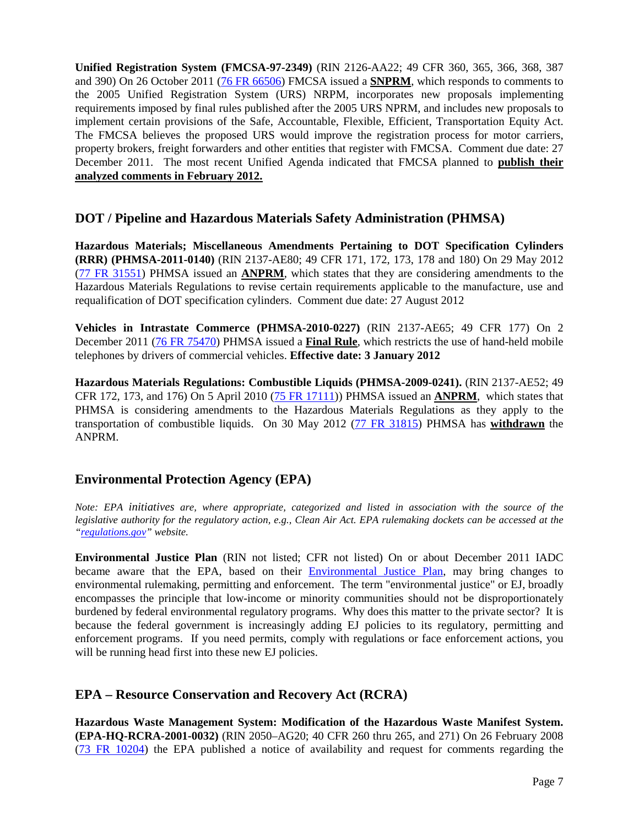**Unified Registration System (FMCSA-97-2349)** (RIN 2126-AA22; 49 CFR 360, 365, 366, 368, 387 and 390) On 26 October 2011 [\(76 FR 66506\)](http://www.gpo.gov/fdsys/pkg/FR-2011-10-26/pdf/2011-26958.pdf) FMCSA issued a **SNPRM**, which responds to comments to the 2005 Unified Registration System (URS) NRPM, incorporates new proposals implementing requirements imposed by final rules published after the 2005 URS NPRM, and includes new proposals to implement certain provisions of the Safe, Accountable, Flexible, Efficient, Transportation Equity Act. The FMCSA believes the proposed URS would improve the registration process for motor carriers, property brokers, freight forwarders and other entities that register with FMCSA. Comment due date: 27 December 2011. The most recent Unified Agenda indicated that FMCSA planned to **publish their analyzed comments in February 2012.**

### **DOT / Pipeline and Hazardous Materials Safety Administration (PHMSA)**

**Hazardous Materials; Miscellaneous Amendments Pertaining to DOT Specification Cylinders (RRR) (PHMSA-2011-0140)** (RIN 2137-AE80; 49 CFR 171, 172, 173, 178 and 180) On 29 May 2012 [\(77 FR 31551\)](http://www.gpo.gov/fdsys/pkg/FR-2012-05-29/pdf/2012-12832.pdf) PHMSA issued an **ANPRM**, which states that they are considering amendments to the Hazardous Materials Regulations to revise certain requirements applicable to the manufacture, use and requalification of DOT specification cylinders. Comment due date: 27 August 2012

**Vehicles in Intrastate Commerce (PHMSA-2010-0227)** (RIN 2137-AE65; 49 CFR 177) On 2 December 2011 [\(76 FR 75470\)](http://www.gpo.gov/fdsys/pkg/FR-2011-12-02/pdf/2011-30749.pdf) PHMSA issued a **Final Rule**, which restricts the use of hand-held mobile telephones by drivers of commercial vehicles. **Effective date: 3 January 2012**

**Hazardous Materials Regulations: Combustible Liquids (PHMSA-2009-0241).** (RIN 2137-AE52; 49 CFR 172, 173, and 176) On 5 April 2010 [\(75 FR 17111\)](http://edocket.access.gpo.gov/2010/pdf/2010-7544.pdf)) PHMSA issued an **ANPRM**, which states that PHMSA is considering amendments to the Hazardous Materials Regulations as they apply to the transportation of combustible liquids. On 30 May 2012 [\(77 FR 31815\)](http://www.gpo.gov/fdsys/pkg/FR-2012-05-30/pdf/2012-12958.pdf) PHMSA has **withdrawn** the ANPRM.

### **Environmental Protection Agency (EPA)**

*Note: EPA initiatives are, where appropriate, categorized and listed in association with the source of the legislative authority for the regulatory action, e.g., Clean Air Act. EPA rulemaking dockets can be accessed at the ["regulations.gov"](http://www.regulations.gov/fdmspublic/component/main) website.*

**Environmental Justice Plan** (RIN not listed; CFR not listed) On or about December 2011 IADC became aware that the EPA, based on their **Environmental Justice Plan**, may bring changes to environmental rulemaking, permitting and enforcement. The term "environmental justice" or EJ, broadly encompasses the principle that low-income or minority communities should not be disproportionately burdened by federal environmental regulatory programs. Why does this matter to the private sector? It is because the federal government is increasingly adding EJ policies to its regulatory, permitting and enforcement programs. If you need permits, comply with regulations or face enforcement actions, you will be running head first into these new EJ policies.

### **EPA – Resource Conservation and Recovery Act (RCRA)**

**Hazardous Waste Management System: Modification of the Hazardous Waste Manifest System. (EPA-HQ-RCRA-2001-0032)** (RIN 2050–AG20; 40 CFR 260 thru 265, and 271) On 26 February 2008 [\(73 FR 10204\)](http://edocket.access.gpo.gov/2008/pdf/E8-3615.pdf) the EPA published a notice of availability and request for comments regarding the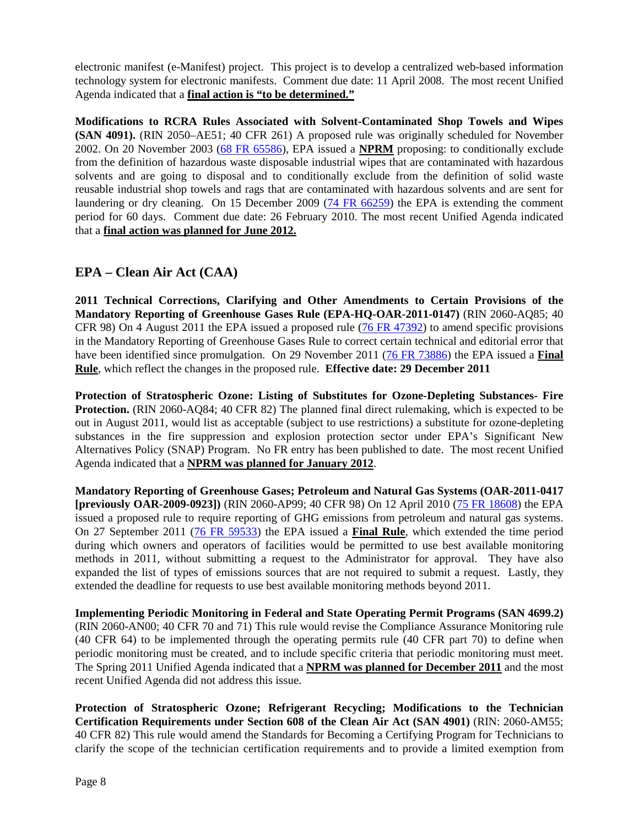electronic manifest (e-Manifest) project. This project is to develop a centralized web-based information technology system for electronic manifests. Comment due date: 11 April 2008. The most recent Unified Agenda indicated that a **final action is "to be determined."**

**Modifications to RCRA Rules Associated with Solvent-Contaminated Shop Towels and Wipes (SAN 4091).** (RIN 2050–AE51; 40 CFR 261) A proposed rule was originally scheduled for November 2002. On 20 November 2003 [\(68 FR 65586\)](http://edocket.access.gpo.gov/2003/pdf/03-28652.pdf), EPA issued a **NPRM** proposing: to conditionally exclude from the definition of hazardous waste disposable industrial wipes that are contaminated with hazardous solvents and are going to disposal and to conditionally exclude from the definition of solid waste reusable industrial shop towels and rags that are contaminated with hazardous solvents and are sent for laundering or dry cleaning. On 15 December 2009 [\(74 FR 66259\)](http://edocket.access.gpo.gov/2009/pdf/E9-29804.pdf) the EPA is extending the comment period for 60 days. Comment due date: 26 February 2010. The most recent Unified Agenda indicated that a **final action was planned for June 2012.**

## **EPA – Clean Air Act (CAA)**

**2011 Technical Corrections, Clarifying and Other Amendments to Certain Provisions of the Mandatory Reporting of Greenhouse Gases Rule (EPA-HQ-OAR-2011-0147)** (RIN 2060-AQ85; 40 CFR 98) On 4 August 2011 the EPA issued a proposed rule [\(76 FR 47392\)](http://www.gpo.gov/fdsys/pkg/FR-2011-08-04/pdf/2011-18712.pdf#page=1) to amend specific provisions in the Mandatory Reporting of Greenhouse Gases Rule to correct certain technical and editorial error that have been identified since promulgation. On 29 November 2011 [\(76 FR 73886\)](http://www.gpo.gov/fdsys/pkg/FR-2011-11-29/pdf/2011-29742.pdf#page=1) the EPA issued a **Final Rule**, which reflect the changes in the proposed rule. **Effective date: 29 December 2011**

**Protection of Stratospheric Ozone: Listing of Substitutes for Ozone-Depleting Substances- Fire Protection.** (RIN 2060-AQ84; 40 CFR 82) The planned final direct rulemaking, which is expected to be out in August 2011, would list as acceptable (subject to use restrictions) a substitute for ozone-depleting substances in the fire suppression and explosion protection sector under EPA's Significant New Alternatives Policy (SNAP) Program. No FR entry has been published to date. The most recent Unified Agenda indicated that a **NPRM was planned for January 2012**.

**Mandatory Reporting of Greenhouse Gases; Petroleum and Natural Gas Systems (OAR-2011-0417 [previously OAR-2009-0923])** (RIN 2060-AP99; 40 CFR 98) On 12 April 2010 [\(75 FR 18608\)](http://edocket.access.gpo.gov/2010/pdf/2010-6767.pdf) the EPA issued a proposed rule to require reporting of GHG emissions from petroleum and natural gas systems. On 27 September 2011 [\(76 FR 59533\)](http://www.gpo.gov/fdsys/pkg/FR-2011-09-27/pdf/2011-24362.pdf) the EPA issued a **Final Rule**, which extended the time period during which owners and operators of facilities would be permitted to use best available monitoring methods in 2011, without submitting a request to the Administrator for approval. They have also expanded the list of types of emissions sources that are not required to submit a request. Lastly, they extended the deadline for requests to use best available monitoring methods beyond 2011.

**Implementing Periodic Monitoring in Federal and State Operating Permit Programs (SAN 4699.2)** (RIN 2060-AN00; 40 CFR 70 and 71) This rule would revise the Compliance Assurance Monitoring rule (40 CFR 64) to be implemented through the operating permits rule (40 CFR part 70) to define when periodic monitoring must be created, and to include specific criteria that periodic monitoring must meet. The Spring 2011 Unified Agenda indicated that a **NPRM was planned for December 2011** and the most recent Unified Agenda did not address this issue.

**Protection of Stratospheric Ozone; Refrigerant Recycling; Modifications to the Technician Certification Requirements under Section 608 of the Clean Air Act (SAN 4901)** (RIN: 2060-AM55; 40 CFR 82) This rule would amend the Standards for Becoming a Certifying Program for Technicians to clarify the scope of the technician certification requirements and to provide a limited exemption from